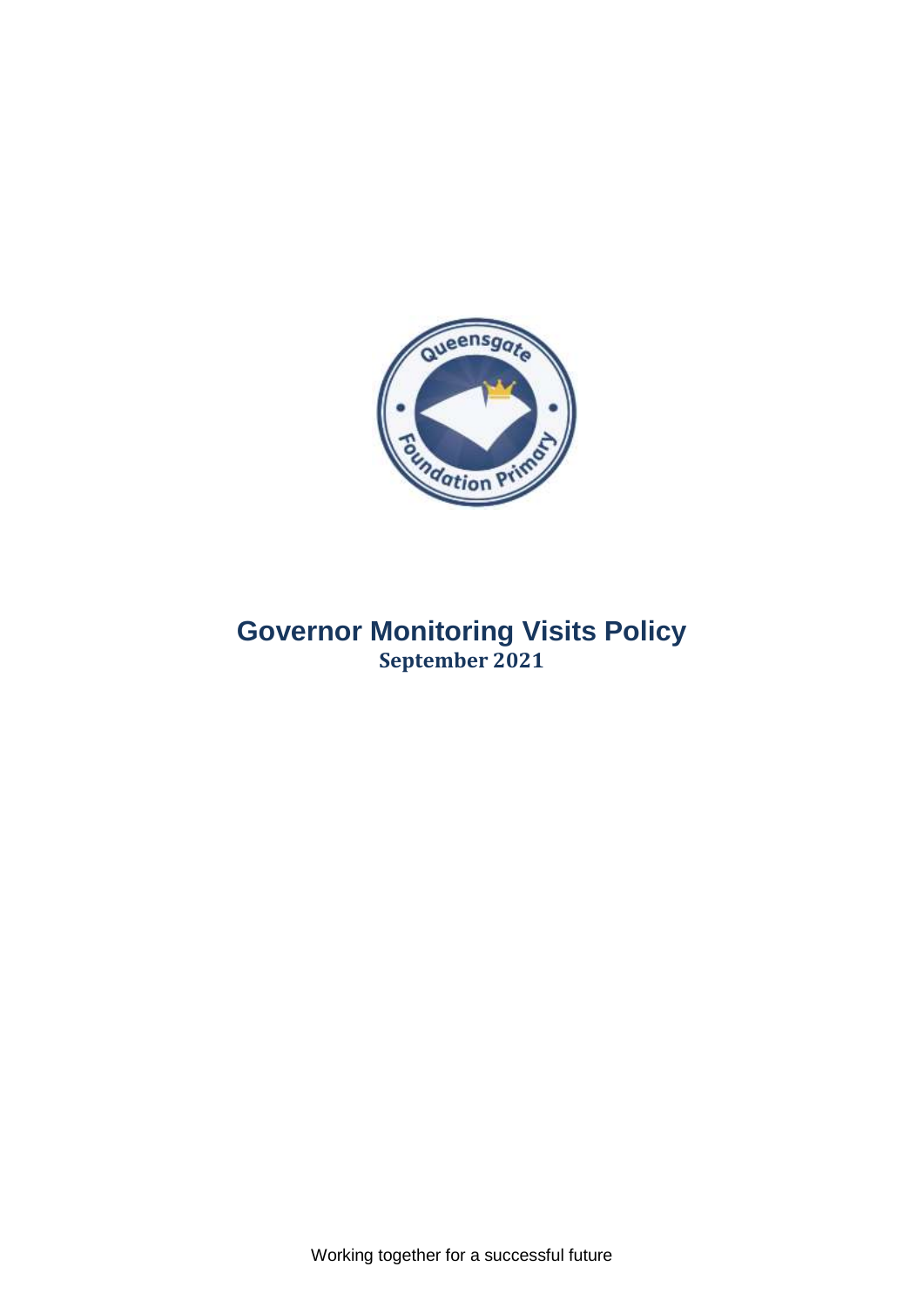

# **Governor Monitoring Visits Policy September 2021**

Working together for a successful future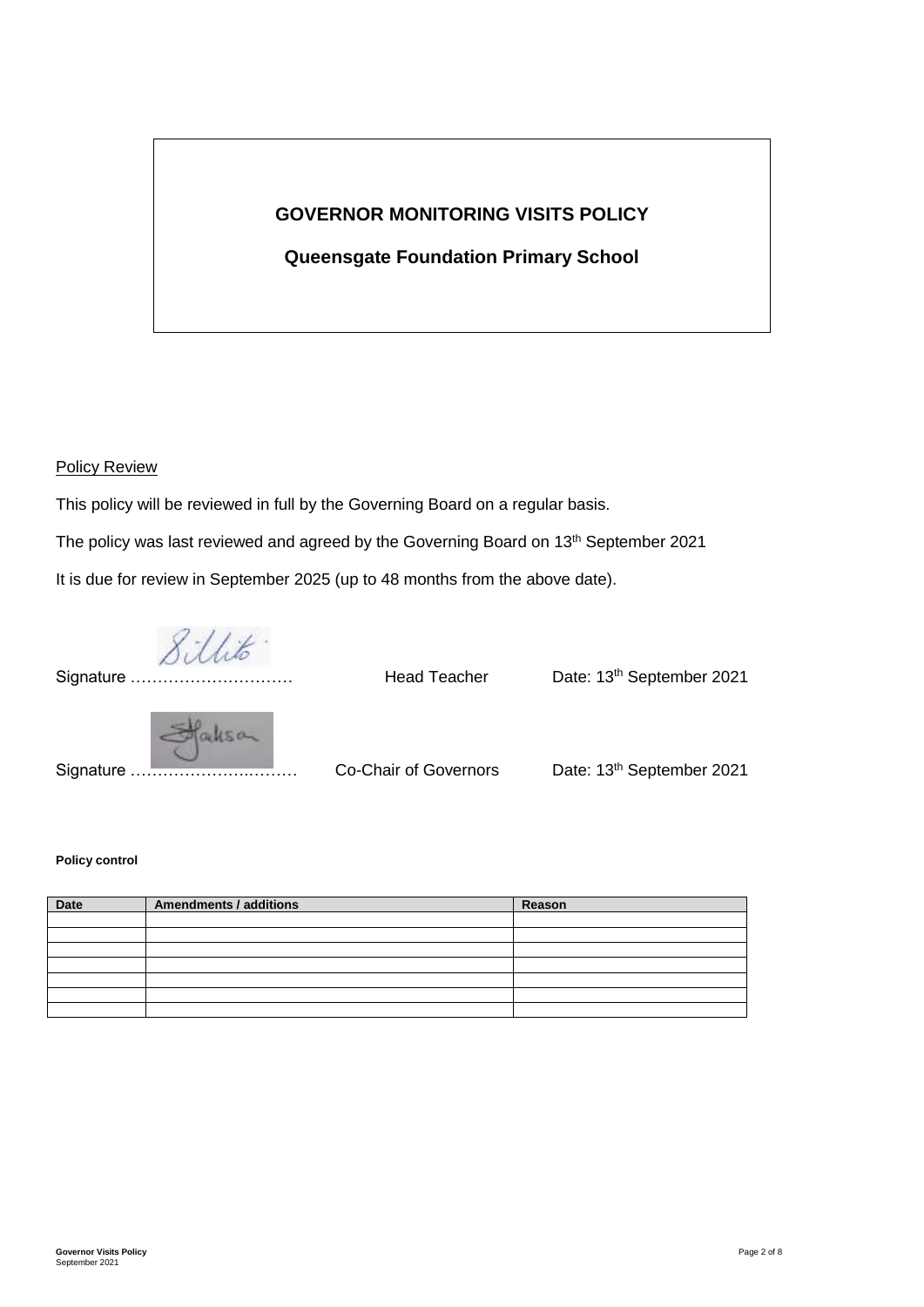# **GOVERNOR MONITORING VISITS POLICY**

# **Queensgate Foundation Primary School**

#### Policy Review

This policy will be reviewed in full by the Governing Board on a regular basis.

The policy was last reviewed and agreed by the Governing Board on 13<sup>th</sup> September 2021

It is due for review in September 2025 (up to 48 months from the above date).

Sillito"

Signature .......

Head Teacher **Date: 13<sup>th</sup> September 2021** 



Signature ………………….……… Co-Chair of Governors Date: 13th September 2021

## **Policy control**

| Date | <b>Amendments / additions</b> | Reason |
|------|-------------------------------|--------|
|      |                               |        |
|      |                               |        |
|      |                               |        |
|      |                               |        |
|      |                               |        |
|      |                               |        |
|      |                               |        |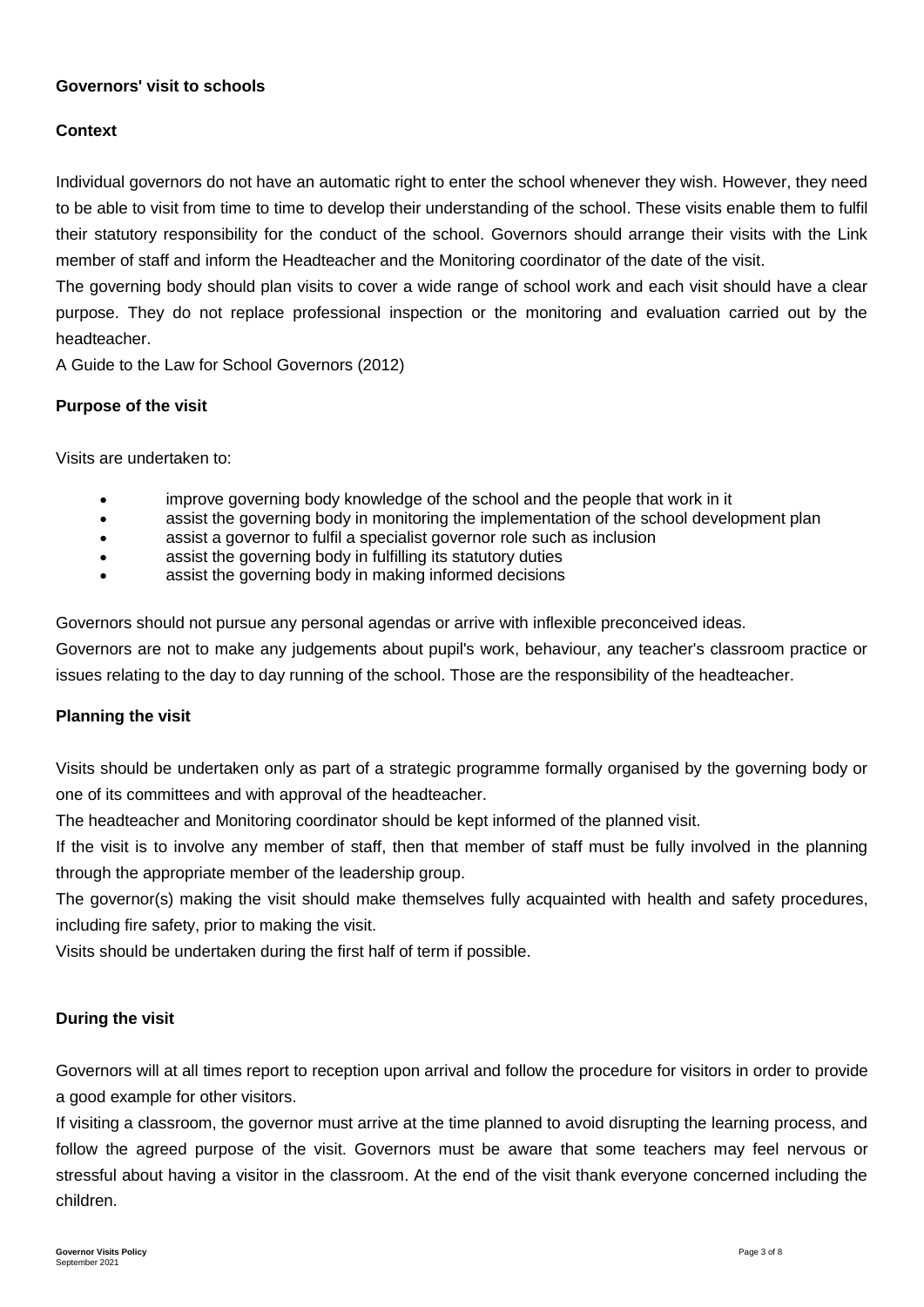# **Governors' visit to schools**

# **Context**

Individual governors do not have an automatic right to enter the school whenever they wish. However, they need to be able to visit from time to time to develop their understanding of the school. These visits enable them to fulfil their statutory responsibility for the conduct of the school. Governors should arrange their visits with the Link member of staff and inform the Headteacher and the Monitoring coordinator of the date of the visit.

The governing body should plan visits to cover a wide range of school work and each visit should have a clear purpose. They do not replace professional inspection or the monitoring and evaluation carried out by the headteacher.

A Guide to the Law for School Governors (2012)

# **Purpose of the visit**

Visits are undertaken to:

- improve governing body knowledge of the school and the people that work in it
- assist the governing body in monitoring the implementation of the school development plan
- assist a governor to fulfil a specialist governor role such as inclusion
- assist the governing body in fulfilling its statutory duties
- assist the governing body in making informed decisions

Governors should not pursue any personal agendas or arrive with inflexible preconceived ideas.

Governors are not to make any judgements about pupil's work, behaviour, any teacher's classroom practice or issues relating to the day to day running of the school. Those are the responsibility of the headteacher.

#### **Planning the visit**

Visits should be undertaken only as part of a strategic programme formally organised by the governing body or one of its committees and with approval of the headteacher.

The headteacher and Monitoring coordinator should be kept informed of the planned visit.

If the visit is to involve any member of staff, then that member of staff must be fully involved in the planning through the appropriate member of the leadership group.

The governor(s) making the visit should make themselves fully acquainted with health and safety procedures, including fire safety, prior to making the visit.

Visits should be undertaken during the first half of term if possible.

#### **During the visit**

Governors will at all times report to reception upon arrival and follow the procedure for visitors in order to provide a good example for other visitors.

If visiting a classroom, the governor must arrive at the time planned to avoid disrupting the learning process, and follow the agreed purpose of the visit. Governors must be aware that some teachers may feel nervous or stressful about having a visitor in the classroom. At the end of the visit thank everyone concerned including the children.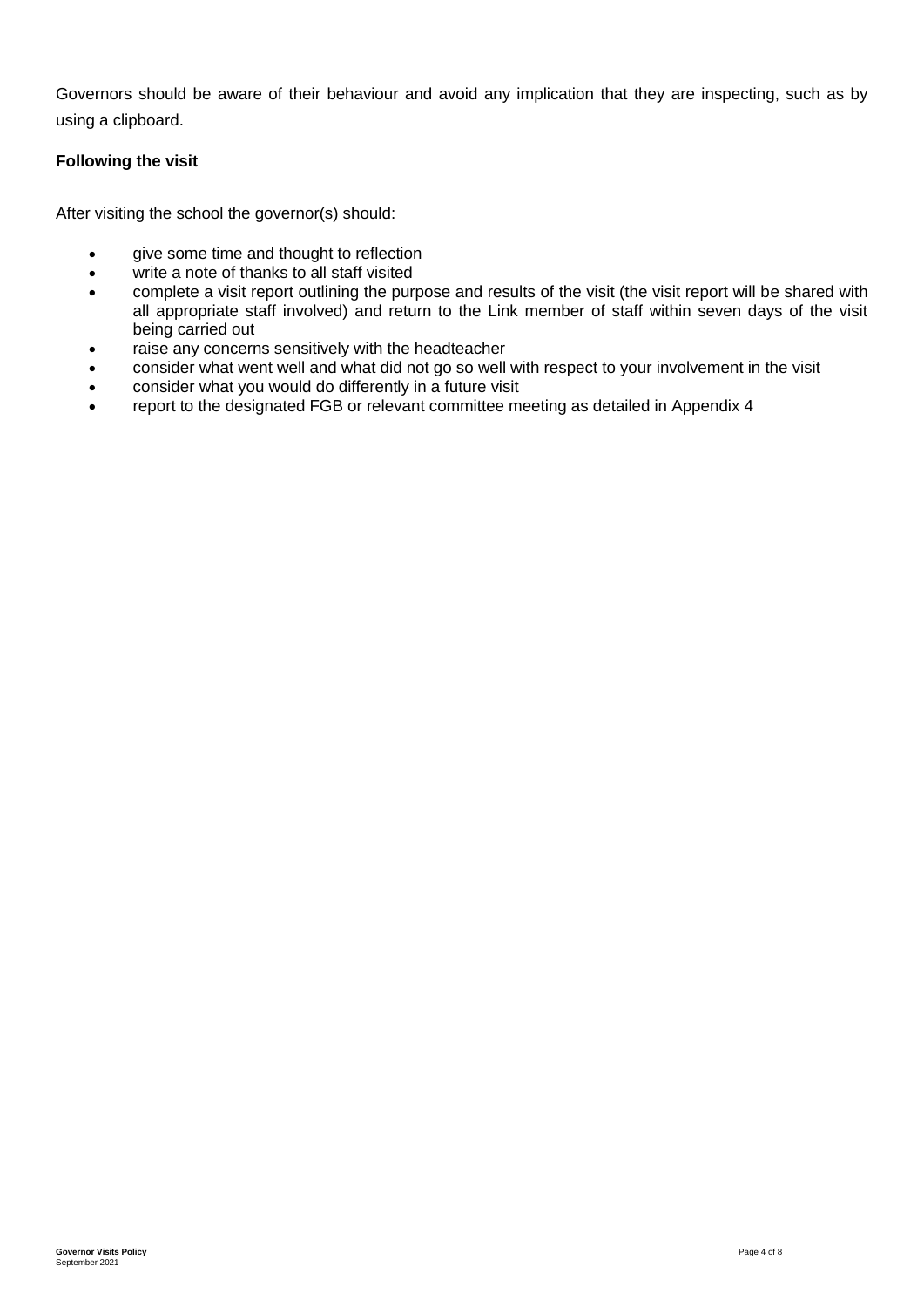Governors should be aware of their behaviour and avoid any implication that they are inspecting, such as by using a clipboard.

# **Following the visit**

After visiting the school the governor(s) should:

- give some time and thought to reflection
- write a note of thanks to all staff visited
- complete a visit report outlining the purpose and results of the visit (the visit report will be shared with all appropriate staff involved) and return to the Link member of staff within seven days of the visit being carried out
- raise any concerns sensitively with the headteacher
- consider what went well and what did not go so well with respect to your involvement in the visit
- consider what you would do differently in a future visit
- report to the designated FGB or relevant committee meeting as detailed in Appendix 4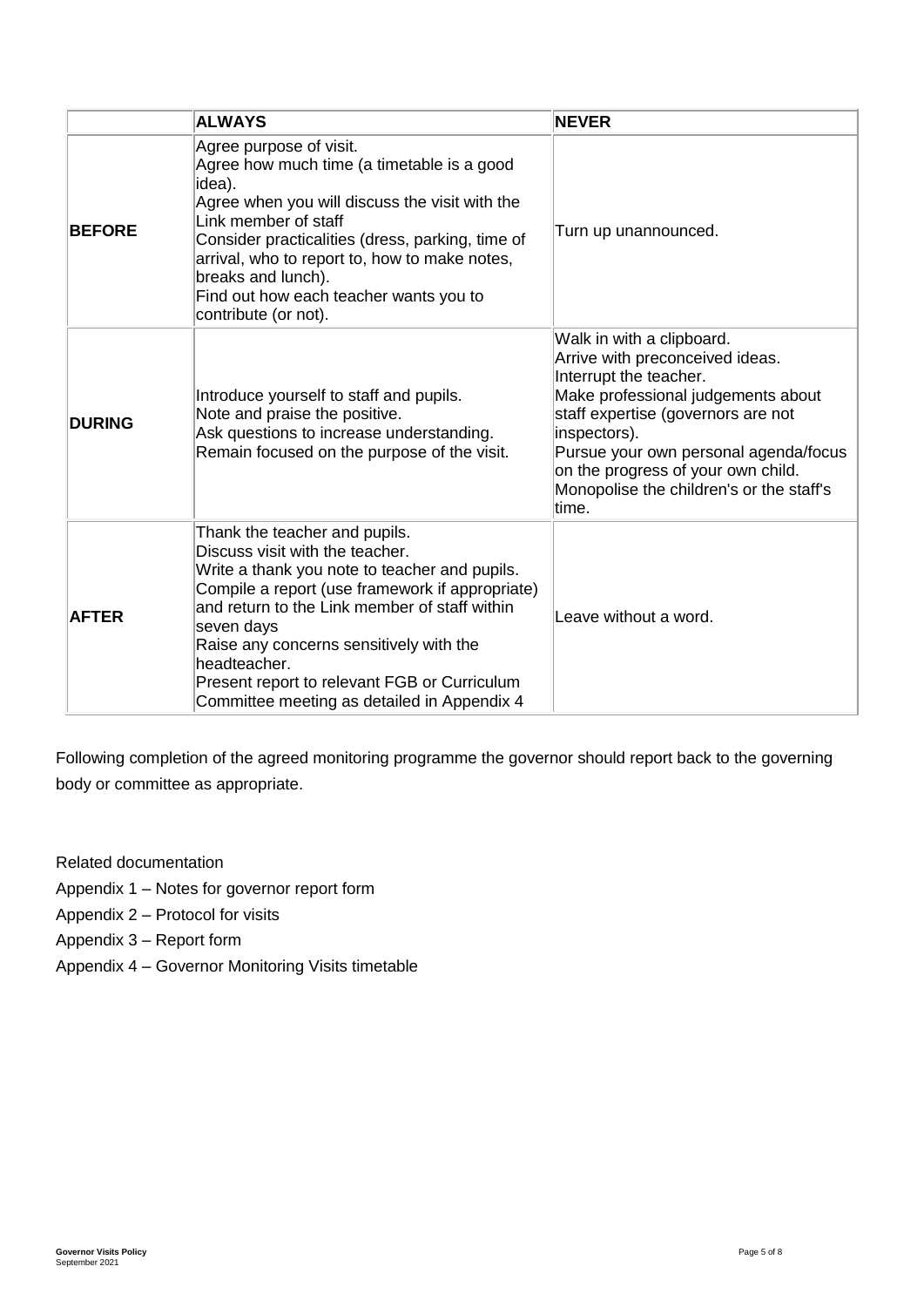|               | <b>ALWAYS</b>                                                                                                                                                                                                                                                                                                                                                                                 | <b>NEVER</b>                                                                                                                                                                                                                                                                                                           |
|---------------|-----------------------------------------------------------------------------------------------------------------------------------------------------------------------------------------------------------------------------------------------------------------------------------------------------------------------------------------------------------------------------------------------|------------------------------------------------------------------------------------------------------------------------------------------------------------------------------------------------------------------------------------------------------------------------------------------------------------------------|
| <b>BEFORE</b> | Agree purpose of visit.<br>Agree how much time (a timetable is a good<br>idea).<br>Agree when you will discuss the visit with the<br>Link member of staff<br>Consider practicalities (dress, parking, time of<br>arrival, who to report to, how to make notes,<br>breaks and lunch).<br>Find out how each teacher wants you to<br>contribute (or not).                                        | Turn up unannounced.                                                                                                                                                                                                                                                                                                   |
| <b>DURING</b> | Introduce yourself to staff and pupils.<br>Note and praise the positive.<br>Ask questions to increase understanding.<br>Remain focused on the purpose of the visit.                                                                                                                                                                                                                           | Walk in with a clipboard.<br>Arrive with preconceived ideas.<br>Interrupt the teacher.<br>Make professional judgements about<br>staff expertise (governors are not<br>inspectors).<br>Pursue your own personal agenda/focus<br>on the progress of your own child.<br>Monopolise the children's or the staff's<br>time. |
| <b>AFTER</b>  | Thank the teacher and pupils.<br>Discuss visit with the teacher.<br>Write a thank you note to teacher and pupils.<br>Compile a report (use framework if appropriate)<br>and return to the Link member of staff within<br>seven days<br>Raise any concerns sensitively with the<br>headteacher.<br>Present report to relevant FGB or Curriculum<br>Committee meeting as detailed in Appendix 4 | Leave without a word.                                                                                                                                                                                                                                                                                                  |

Following completion of the agreed monitoring programme the governor should report back to the governing body or committee as appropriate.

Related documentation

- Appendix 1 Notes for governor report form
- Appendix 2 Protocol for visits
- Appendix 3 Report form
- Appendix 4 Governor Monitoring Visits timetable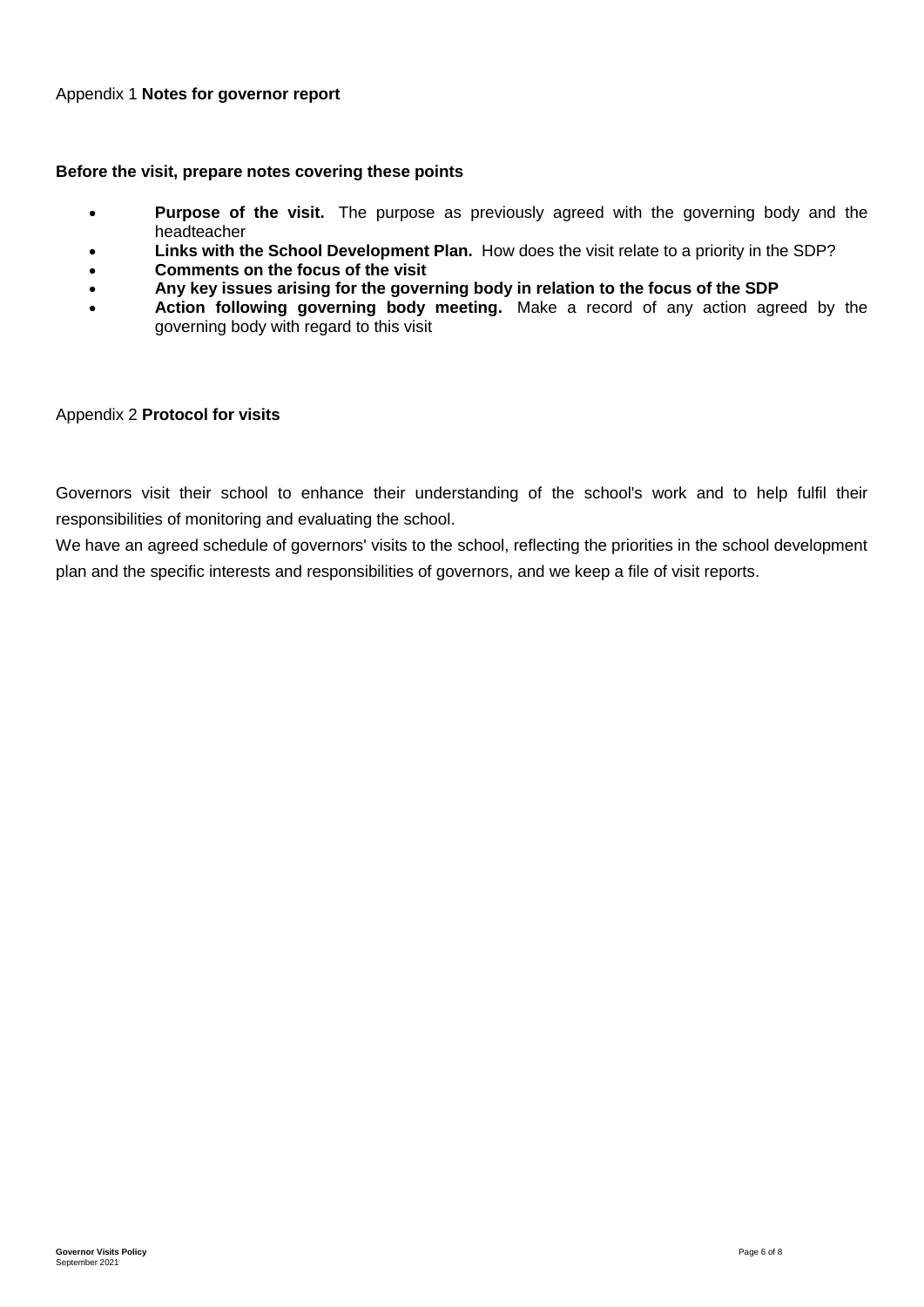#### **Before the visit, prepare notes covering these points**

- **Purpose of the visit.** The purpose as previously agreed with the governing body and the headteacher
- **Links with the School Development Plan.** How does the visit relate to a priority in the SDP?
- **Comments on the focus of the visit**
- **Any key issues arising for the governing body in relation to the focus of the SDP**
- **Action following governing body meeting.** Make a record of any action agreed by the governing body with regard to this visit

#### Appendix 2 **Protocol for visits**

Governors visit their school to enhance their understanding of the school's work and to help fulfil their responsibilities of monitoring and evaluating the school.

We have an agreed schedule of governors' visits to the school, reflecting the priorities in the school development plan and the specific interests and responsibilities of governors, and we keep a file of visit reports.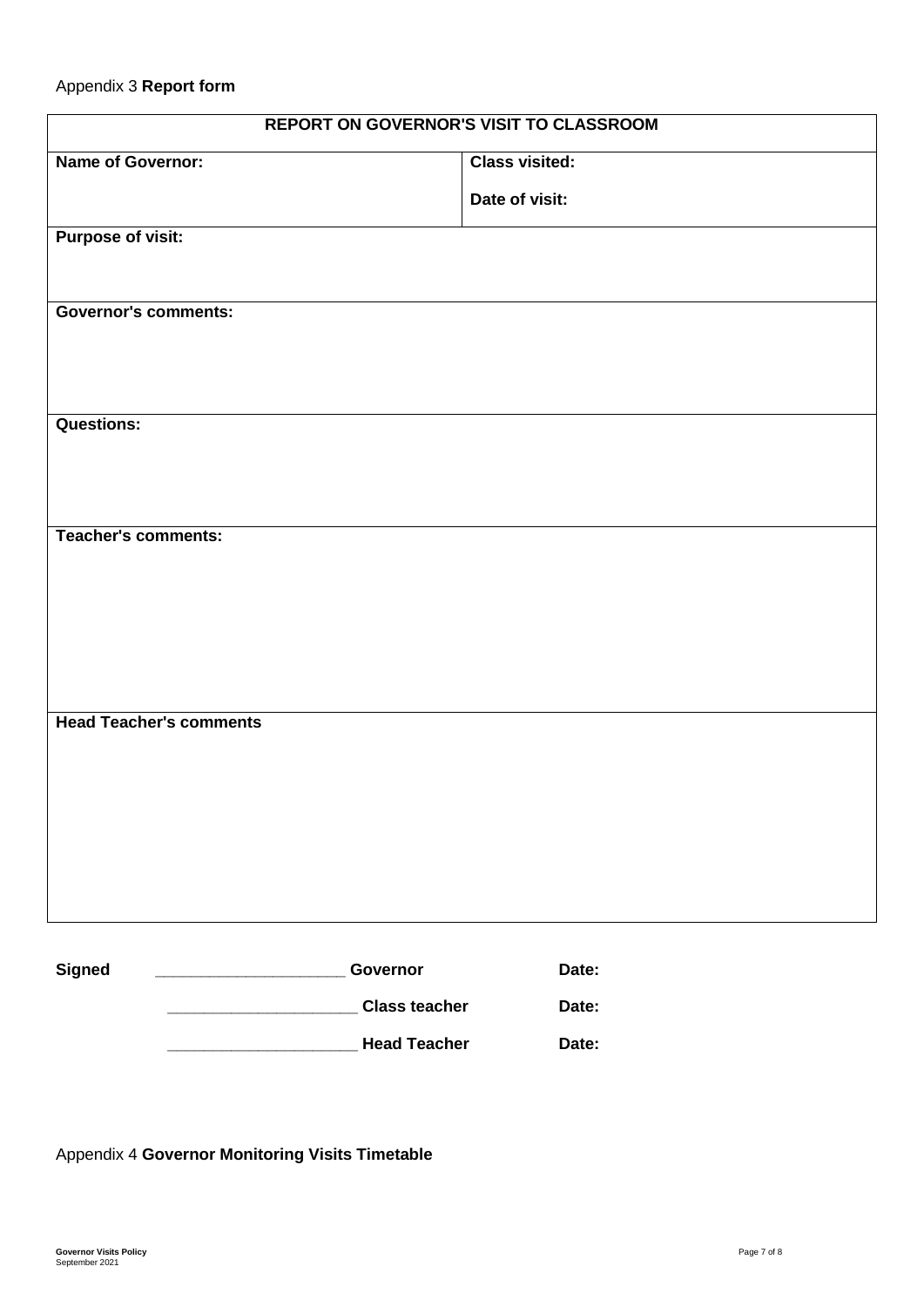| <b>REPORT ON GOVERNOR'S VISIT TO CLASSROOM</b> |                       |  |  |
|------------------------------------------------|-----------------------|--|--|
| <b>Name of Governor:</b>                       | <b>Class visited:</b> |  |  |
|                                                | Date of visit:        |  |  |
| <b>Purpose of visit:</b>                       |                       |  |  |
|                                                |                       |  |  |
| <b>Governor's comments:</b>                    |                       |  |  |
|                                                |                       |  |  |
|                                                |                       |  |  |
| <b>Questions:</b>                              |                       |  |  |
|                                                |                       |  |  |
|                                                |                       |  |  |
| <b>Teacher's comments:</b>                     |                       |  |  |
|                                                |                       |  |  |
|                                                |                       |  |  |
|                                                |                       |  |  |
|                                                |                       |  |  |
| <b>Head Teacher's comments</b>                 |                       |  |  |
|                                                |                       |  |  |
|                                                |                       |  |  |
|                                                |                       |  |  |
|                                                |                       |  |  |
|                                                |                       |  |  |
|                                                |                       |  |  |

| Signed | Governor             | Date: |
|--------|----------------------|-------|
|        | <b>Class teacher</b> | Date: |
|        | <b>Head Teacher</b>  | Date: |

Appendix 4 **Governor Monitoring Visits Timetable**